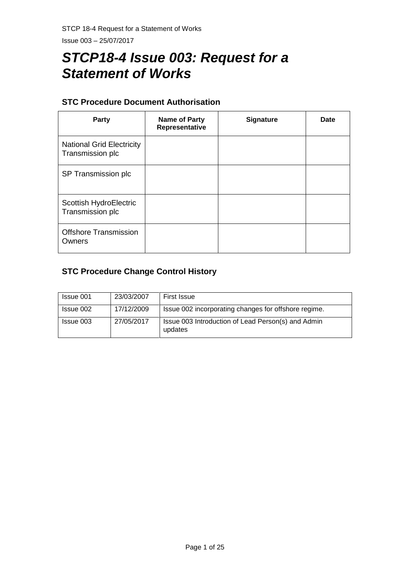# *STCP18-4 Issue 003: Request for a Statement of Works*

## **STC Procedure Document Authorisation**

| Party                                                | <b>Name of Party</b><br>Representative | <b>Signature</b> | Date |
|------------------------------------------------------|----------------------------------------|------------------|------|
| <b>National Grid Electricity</b><br>Transmission plc |                                        |                  |      |
| SP Transmission plc                                  |                                        |                  |      |
| Scottish HydroElectric<br>Transmission plc           |                                        |                  |      |
| <b>Offshore Transmission</b><br>Owners               |                                        |                  |      |

## **STC Procedure Change Control History**

| Issue 001 | 23/03/2007 | <b>First Issue</b>                                            |
|-----------|------------|---------------------------------------------------------------|
| Issue 002 | 17/12/2009 | Issue 002 incorporating changes for offshore regime.          |
| Issue 003 | 27/05/2017 | Issue 003 Introduction of Lead Person(s) and Admin<br>updates |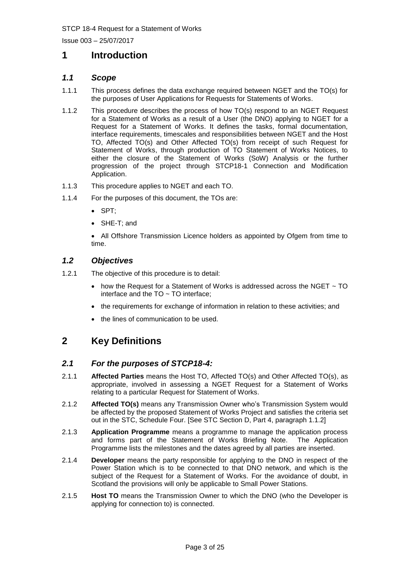## **1 Introduction**

## *1.1 Scope*

- 1.1.1 This process defines the data exchange required between NGET and the TO(s) for the purposes of User Applications for Requests for Statements of Works.
- 1.1.2 This procedure describes the process of how TO(s) respond to an NGET Request for a Statement of Works as a result of a User (the DNO) applying to NGET for a Request for a Statement of Works. It defines the tasks, formal documentation, interface requirements, timescales and responsibilities between NGET and the Host TO, Affected TO(s) and Other Affected TO(s) from receipt of such Request for Statement of Works, through production of TO Statement of Works Notices, to either the closure of the Statement of Works (SoW) Analysis or the further progression of the project through STCP18-1 Connection and Modification Application.
- 1.1.3 This procedure applies to NGET and each TO.
- 1.1.4 For the purposes of this document, the TOs are:
	- SPT;
	- SHE-T; and

• All Offshore Transmission Licence holders as appointed by Ofgem from time to time.

## *1.2 Objectives*

- 1.2.1 The objective of this procedure is to detail:
	- how the Request for a Statement of Works is addressed across the NGET  $\sim$  TO interface and the  $TO \sim TO$  interface;
	- the requirements for exchange of information in relation to these activities; and
	- the lines of communication to be used.

## **2 Key Definitions**

## *2.1 For the purposes of STCP18-4:*

- 2.1.1 **Affected Parties** means the Host TO, Affected TO(s) and Other Affected TO(s), as appropriate, involved in assessing a NGET Request for a Statement of Works relating to a particular Request for Statement of Works.
- 2.1.2 **Affected TO(s)** means any Transmission Owner who's Transmission System would be affected by the proposed Statement of Works Project and satisfies the criteria set out in the STC, Schedule Four. [See STC Section D, Part 4, paragraph 1.1.2]
- 2.1.3 **Application Programme** means a programme to manage the application process and forms part of the Statement of Works Briefing Note. The Application Programme lists the milestones and the dates agreed by all parties are inserted.
- 2.1.4 **Developer** means the party responsible for applying to the DNO in respect of the Power Station which is to be connected to that DNO network, and which is the subject of the Request for a Statement of Works. For the avoidance of doubt, in Scotland the provisions will only be applicable to Small Power Stations.
- 2.1.5 **Host TO** means the Transmission Owner to which the DNO (who the Developer is applying for connection to) is connected.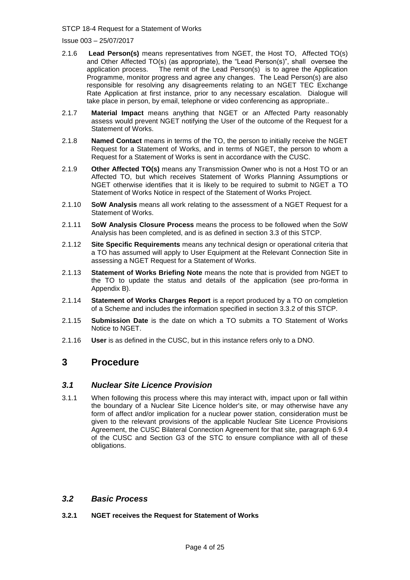Issue 003 – 25/07/2017

- 2.1.6 **Lead Person(s)** means representatives from NGET, the Host TO, Affected TO(s) and Other Affected TO(s) (as appropriate), the "Lead Person(s)", shall oversee the application process. The remit of the Lead Person(s) is to agree the Application Programme, monitor progress and agree any changes. The Lead Person(s) are also responsible for resolving any disagreements relating to an NGET TEC Exchange Rate Application at first instance, prior to any necessary escalation. Dialogue will take place in person, by email, telephone or video conferencing as appropriate..
- 2.1.7 **Material Impact** means anything that NGET or an Affected Party reasonably assess would prevent NGET notifying the User of the outcome of the Request for a Statement of Works.
- 2.1.8 **Named Contact** means in terms of the TO, the person to initially receive the NGET Request for a Statement of Works, and in terms of NGET, the person to whom a Request for a Statement of Works is sent in accordance with the CUSC.
- 2.1.9 **Other Affected TO(s)** means any Transmission Owner who is not a Host TO or an Affected TO, but which receives Statement of Works Planning Assumptions or NGET otherwise identifies that it is likely to be required to submit to NGET a TO Statement of Works Notice in respect of the Statement of Works Project.
- 2.1.10 **SoW Analysis** means all work relating to the assessment of a NGET Request for a Statement of Works.
- 2.1.11 **SoW Analysis Closure Process** means the process to be followed when the SoW Analysis has been completed, and is as defined in section 3.3 of this STCP.
- 2.1.12 **Site Specific Requirements** means any technical design or operational criteria that a TO has assumed will apply to User Equipment at the Relevant Connection Site in assessing a NGET Request for a Statement of Works.
- 2.1.13 **Statement of Works Briefing Note** means the note that is provided from NGET to the TO to update the status and details of the application (see pro-forma in Appendix B).
- 2.1.14 **Statement of Works Charges Report** is a report produced by a TO on completion of a Scheme and includes the information specified in section 3.3.2 of this STCP.
- 2.1.15 **Submission Date** is the date on which a TO submits a TO Statement of Works Notice to NGET.
- 2.1.16 **User** is as defined in the CUSC, but in this instance refers only to a DNO.

## **3 Procedure**

## *3.1 Nuclear Site Licence Provision*

3.1.1 When following this process where this may interact with, impact upon or fall within the boundary of a Nuclear Site Licence holder's site, or may otherwise have any form of affect and/or implication for a nuclear power station, consideration must be given to the relevant provisions of the applicable Nuclear Site Licence Provisions Agreement, the CUSC Bilateral Connection Agreement for that site, paragraph 6.9.4 of the CUSC and Section G3 of the STC to ensure compliance with all of these obligations.

## *3.2 Basic Process*

## **3.2.1 NGET receives the Request for Statement of Works**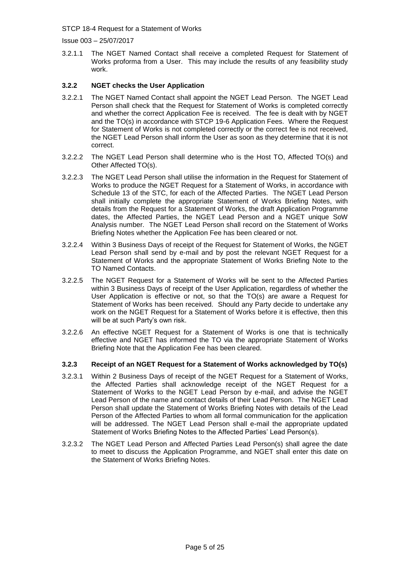Issue 003 – 25/07/2017

3.2.1.1 The NGET Named Contact shall receive a completed Request for Statement of Works proforma from a User. This may include the results of any feasibility study work.

## **3.2.2 NGET checks the User Application**

- 3.2.2.1 The NGET Named Contact shall appoint the NGET Lead Person. The NGET Lead Person shall check that the Request for Statement of Works is completed correctly and whether the correct Application Fee is received. The fee is dealt with by NGET and the TO(s) in accordance with STCP 19-6 Application Fees. Where the Request for Statement of Works is not completed correctly or the correct fee is not received, the NGET Lead Person shall inform the User as soon as they determine that it is not correct.
- 3.2.2.2 The NGET Lead Person shall determine who is the Host TO, Affected TO(s) and Other Affected TO(s).
- 3.2.2.3 The NGET Lead Person shall utilise the information in the Request for Statement of Works to produce the NGET Request for a Statement of Works, in accordance with Schedule 13 of the STC, for each of the Affected Parties. The NGET Lead Person shall initially complete the appropriate Statement of Works Briefing Notes, with details from the Request for a Statement of Works, the draft Application Programme dates, the Affected Parties, the NGET Lead Person and a NGET unique SoW Analysis number. The NGET Lead Person shall record on the Statement of Works Briefing Notes whether the Application Fee has been cleared or not.
- 3.2.2.4 Within 3 Business Days of receipt of the Request for Statement of Works, the NGET Lead Person shall send by e-mail and by post the relevant NGET Request for a Statement of Works and the appropriate Statement of Works Briefing Note to the TO Named Contacts.
- 3.2.2.5 The NGET Request for a Statement of Works will be sent to the Affected Parties within 3 Business Days of receipt of the User Application, regardless of whether the User Application is effective or not, so that the TO(s) are aware a Request for Statement of Works has been received. Should any Party decide to undertake any work on the NGET Request for a Statement of Works before it is effective, then this will be at such Party's own risk.
- 3.2.2.6 An effective NGET Request for a Statement of Works is one that is technically effective and NGET has informed the TO via the appropriate Statement of Works Briefing Note that the Application Fee has been cleared.

## **3.2.3 Receipt of an NGET Request for a Statement of Works acknowledged by TO(s)**

- 3.2.3.1 Within 2 Business Days of receipt of the NGET Request for a Statement of Works, the Affected Parties shall acknowledge receipt of the NGET Request for a Statement of Works to the NGET Lead Person by e-mail, and advise the NGET Lead Person of the name and contact details of their Lead Person. The NGET Lead Person shall update the Statement of Works Briefing Notes with details of the Lead Person of the Affected Parties to whom all formal communication for the application will be addressed. The NGET Lead Person shall e-mail the appropriate updated Statement of Works Briefing Notes to the Affected Parties' Lead Person(s).
- 3.2.3.2 The NGET Lead Person and Affected Parties Lead Person(s) shall agree the date to meet to discuss the Application Programme, and NGET shall enter this date on the Statement of Works Briefing Notes.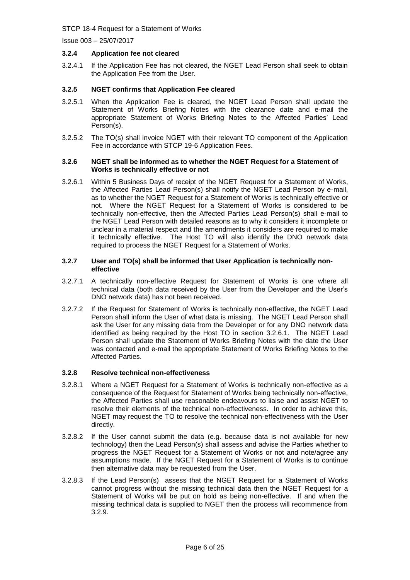Issue 003 – 25/07/2017

## **3.2.4 Application fee not cleared**

3.2.4.1 If the Application Fee has not cleared, the NGET Lead Person shall seek to obtain the Application Fee from the User.

### **3.2.5 NGET confirms that Application Fee cleared**

- 3.2.5.1 When the Application Fee is cleared, the NGET Lead Person shall update the Statement of Works Briefing Notes with the clearance date and e-mail the appropriate Statement of Works Briefing Notes to the Affected Parties' Lead Person(s).
- 3.2.5.2 The TO(s) shall invoice NGET with their relevant TO component of the Application Fee in accordance with STCP 19-6 Application Fees.

#### <span id="page-5-1"></span>**3.2.6 NGET shall be informed as to whether the NGET Request for a Statement of Works is technically effective or not**

3.2.6.1 Within 5 Business Days of receipt of the NGET Request for a Statement of Works, the Affected Parties Lead Person(s) shall notify the NGET Lead Person by e-mail, as to whether the NGET Request for a Statement of Works is technically effective or not. Where the NGET Request for a Statement of Works is considered to be technically non-effective, then the Affected Parties Lead Person(s) shall e-mail to the NGET Lead Person with detailed reasons as to why it considers it incomplete or unclear in a material respect and the amendments it considers are required to make it technically effective. The Host TO will also identify the DNO network data required to process the NGET Request for a Statement of Works.

#### <span id="page-5-0"></span>**3.2.7 User and TO(s) shall be informed that User Application is technically noneffective**

- 3.2.7.1 A technically non-effective Request for Statement of Works is one where all technical data (both data received by the User from the Developer and the User's DNO network data) has not been received.
- 3.2.7.2 If the Request for Statement of Works is technically non-effective, the NGET Lead Person shall inform the User of what data is missing. The NGET Lead Person shall ask the User for any missing data from the Developer or for any DNO network data identified as being required by the Host TO in section [3.2.6.1.](#page-5-0) The NGET Lead Person shall update the Statement of Works Briefing Notes with the date the User was contacted and e-mail the appropriate Statement of Works Briefing Notes to the Affected Parties.

### **3.2.8 Resolve technical non-effectiveness**

- 3.2.8.1 Where a NGET Request for a Statement of Works is technically non-effective as a consequence of the Request for Statement of Works being technically non-effective, the Affected Parties shall use reasonable endeavours to liaise and assist NGET to resolve their elements of the technical non-effectiveness. In order to achieve this, NGET may request the TO to resolve the technical non-effectiveness with the User directly.
- 3.2.8.2 If the User cannot submit the data (e.g. because data is not available for new technology) then the Lead Person(s) shall assess and advise the Parties whether to progress the NGET Request for a Statement of Works or not and note/agree any assumptions made. If the NGET Request for a Statement of Works is to continue then alternative data may be requested from the User.
- 3.2.8.3 If the Lead Person(s) assess that the NGET Request for a Statement of Works cannot progress without the missing technical data then the NGET Request for a Statement of Works will be put on hold as being non-effective. If and when the missing technical data is supplied to NGET then the process will recommence from [3.2.9.](#page-6-0)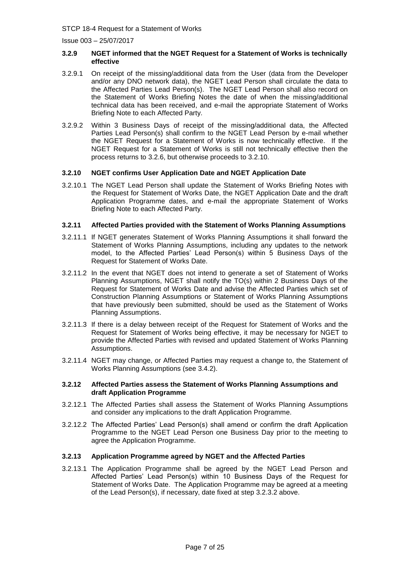#### <span id="page-6-0"></span>**3.2.9 NGET informed that the NGET Request for a Statement of Works is technically effective**

- 3.2.9.1 On receipt of the missing/additional data from the User (data from the Developer and/or any DNO network data), the NGET Lead Person shall circulate the data to the Affected Parties Lead Person(s). The NGET Lead Person shall also record on the Statement of Works Briefing Notes the date of when the missing/additional technical data has been received, and e-mail the appropriate Statement of Works Briefing Note to each Affected Party.
- 3.2.9.2 Within 3 Business Days of receipt of the missing/additional data, the Affected Parties Lead Person(s) shall confirm to the NGET Lead Person by e-mail whether the NGET Request for a Statement of Works is now technically effective. If the NGET Request for a Statement of Works is still not technically effective then the process returns to [3.2.6,](#page-5-1) but otherwise proceeds to [3.2.10.](#page-6-1)

### <span id="page-6-1"></span>**3.2.10 NGET confirms User Application Date and NGET Application Date**

3.2.10.1 The NGET Lead Person shall update the Statement of Works Briefing Notes with the Request for Statement of Works Date, the NGET Application Date and the draft Application Programme dates, and e-mail the appropriate Statement of Works Briefing Note to each Affected Party.

### <span id="page-6-2"></span>**3.2.11 Affected Parties provided with the Statement of Works Planning Assumptions**

- 3.2.11.1 If NGET generates Statement of Works Planning Assumptions it shall forward the Statement of Works Planning Assumptions, including any updates to the network model, to the Affected Parties' Lead Person(s) within 5 Business Days of the Request for Statement of Works Date.
- 3.2.11.2 In the event that NGET does not intend to generate a set of Statement of Works Planning Assumptions, NGET shall notify the TO(s) within 2 Business Days of the Request for Statement of Works Date and advise the Affected Parties which set of Construction Planning Assumptions or Statement of Works Planning Assumptions that have previously been submitted, should be used as the Statement of Works Planning Assumptions.
- 3.2.11.3 If there is a delay between receipt of the Request for Statement of Works and the Request for Statement of Works being effective, it may be necessary for NGET to provide the Affected Parties with revised and updated Statement of Works Planning Assumptions.
- 3.2.11.4 NGET may change, or Affected Parties may request a change to, the Statement of Works Planning Assumptions (see [3.4.2\)](#page-9-0).

#### **3.2.12 Affected Parties assess the Statement of Works Planning Assumptions and draft Application Programme**

- 3.2.12.1 The Affected Parties shall assess the Statement of Works Planning Assumptions and consider any implications to the draft Application Programme.
- 3.2.12.2 The Affected Parties' Lead Person(s) shall amend or confirm the draft Application Programme to the NGET Lead Person one Business Day prior to the meeting to agree the Application Programme.

## **3.2.13 Application Programme agreed by NGET and the Affected Parties**

3.2.13.1 The Application Programme shall be agreed by the NGET Lead Person and Affected Parties' Lead Person(s) within 10 Business Days of the Request for Statement of Works Date. The Application Programme may be agreed at a meeting of the Lead Person(s), if necessary, date fixed at step 3.2.3.2 above.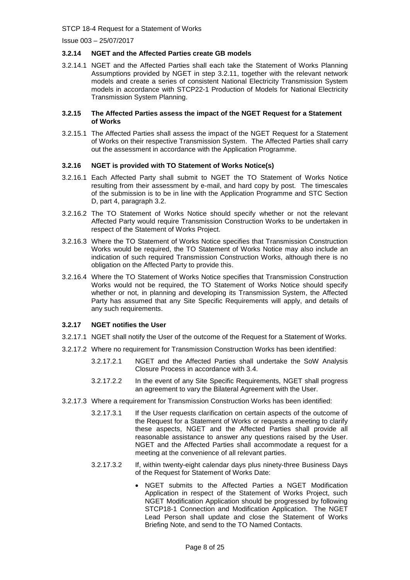## **3.2.14 NGET and the Affected Parties create GB models**

3.2.14.1 NGET and the Affected Parties shall each take the Statement of Works Planning Assumptions provided by NGET in step [3.2.11,](#page-6-2) together with the relevant network models and create a series of consistent National Electricity Transmission System models in accordance with STCP22-1 Production of Models for National Electricity Transmission System Planning.

#### **3.2.15 The Affected Parties assess the impact of the NGET Request for a Statement of Works**

3.2.15.1 The Affected Parties shall assess the impact of the NGET Request for a Statement of Works on their respective Transmission System. The Affected Parties shall carry out the assessment in accordance with the Application Programme.

## **3.2.16 NGET is provided with TO Statement of Works Notice(s)**

- 3.2.16.1 Each Affected Party shall submit to NGET the TO Statement of Works Notice resulting from their assessment by e-mail, and hard copy by post. The timescales of the submission is to be in line with the Application Programme and STC Section D, part 4, paragraph 3.2.
- 3.2.16.2 The TO Statement of Works Notice should specify whether or not the relevant Affected Party would require Transmission Construction Works to be undertaken in respect of the Statement of Works Project.
- 3.2.16.3 Where the TO Statement of Works Notice specifies that Transmission Construction Works would be required, the TO Statement of Works Notice may also include an indication of such required Transmission Construction Works, although there is no obligation on the Affected Party to provide this.
- 3.2.16.4 Where the TO Statement of Works Notice specifies that Transmission Construction Works would not be required, the TO Statement of Works Notice should specify whether or not, in planning and developing its Transmission System, the Affected Party has assumed that any Site Specific Requirements will apply, and details of any such requirements.

## **3.2.17 NGET notifies the User**

- 3.2.17.1 NGET shall notify the User of the outcome of the Request for a Statement of Works.
- 3.2.17.2 Where no requirement for Transmission Construction Works has been identified:
	- 3.2.17.2.1 NGET and the Affected Parties shall undertake the SoW Analysis Closure Process in accordance with 3.4.
	- 3.2.17.2.2 In the event of any Site Specific Requirements, NGET shall progress an agreement to vary the Bilateral Agreement with the User.
- 3.2.17.3 Where a requirement for Transmission Construction Works has been identified:
	- 3.2.17.3.1 If the User requests clarification on certain aspects of the outcome of the Request for a Statement of Works or requests a meeting to clarify these aspects, NGET and the Affected Parties shall provide all reasonable assistance to answer any questions raised by the User. NGET and the Affected Parties shall accommodate a request for a meeting at the convenience of all relevant parties.
	- 3.2.17.3.2 If, within twenty-eight calendar days plus ninety-three Business Days of the Request for Statement of Works Date:
		- NGET submits to the Affected Parties a NGET Modification Application in respect of the Statement of Works Project, such NGET Modification Application should be progressed by following STCP18-1 Connection and Modification Application. The NGET Lead Person shall update and close the Statement of Works Briefing Note, and send to the TO Named Contacts.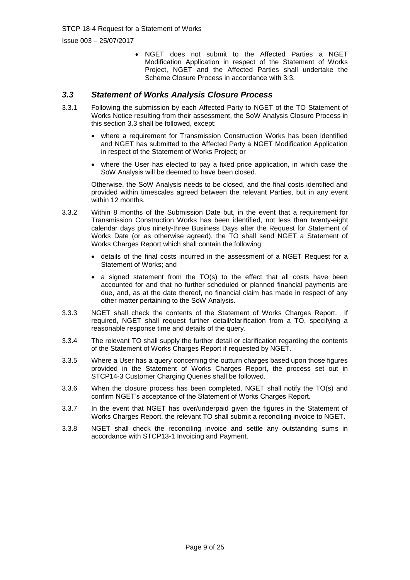NGET does not submit to the Affected Parties a NGET Modification Application in respect of the Statement of Works Project, NGET and the Affected Parties shall undertake the Scheme Closure Process in accordance with 3.3.

## *3.3 Statement of Works Analysis Closure Process*

- 3.3.1 Following the submission by each Affected Party to NGET of the TO Statement of Works Notice resulting from their assessment, the SoW Analysis Closure Process in this section 3.3 shall be followed, except:
	- where a requirement for Transmission Construction Works has been identified and NGET has submitted to the Affected Party a NGET Modification Application in respect of the Statement of Works Project; or
	- where the User has elected to pay a fixed price application, in which case the SoW Analysis will be deemed to have been closed.

Otherwise, the SoW Analysis needs to be closed, and the final costs identified and provided within timescales agreed between the relevant Parties, but in any event within 12 months.

- 3.3.2 Within 8 months of the Submission Date but, in the event that a requirement for Transmission Construction Works has been identified, not less than twenty-eight calendar days plus ninety-three Business Days after the Request for Statement of Works Date (or as otherwise agreed), the TO shall send NGET a Statement of Works Charges Report which shall contain the following:
	- details of the final costs incurred in the assessment of a NGET Request for a Statement of Works; and
	- a signed statement from the TO(s) to the effect that all costs have been accounted for and that no further scheduled or planned financial payments are due, and, as at the date thereof, no financial claim has made in respect of any other matter pertaining to the SoW Analysis.
- 3.3.3 NGET shall check the contents of the Statement of Works Charges Report. If required, NGET shall request further detail/clarification from a TO, specifying a reasonable response time and details of the query.
- 3.3.4 The relevant TO shall supply the further detail or clarification regarding the contents of the Statement of Works Charges Report if requested by NGET.
- 3.3.5 Where a User has a query concerning the outturn charges based upon those figures provided in the Statement of Works Charges Report, the process set out in STCP14-3 Customer Charging Queries shall be followed.
- 3.3.6 When the closure process has been completed, NGET shall notify the TO(s) and confirm NGET's acceptance of the Statement of Works Charges Report.
- 3.3.7 In the event that NGET has over/underpaid given the figures in the Statement of Works Charges Report, the relevant TO shall submit a reconciling invoice to NGET.
- 3.3.8 NGET shall check the reconciling invoice and settle any outstanding sums in accordance with STCP13-1 Invoicing and Payment.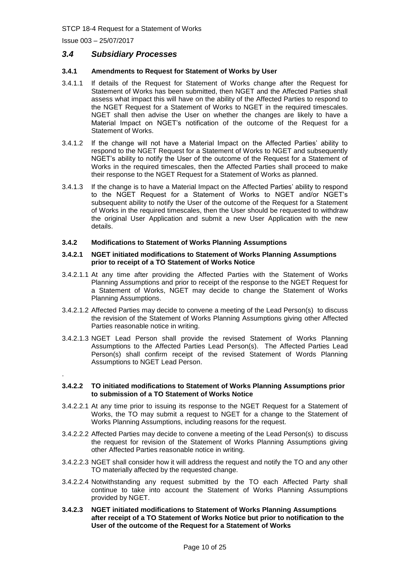## *3.4 Subsidiary Processes*

#### **3.4.1 Amendments to Request for Statement of Works by User**

- 3.4.1.1 If details of the Request for Statement of Works change after the Request for Statement of Works has been submitted, then NGET and the Affected Parties shall assess what impact this will have on the ability of the Affected Parties to respond to the NGET Request for a Statement of Works to NGET in the required timescales. NGET shall then advise the User on whether the changes are likely to have a Material Impact on NGET's notification of the outcome of the Request for a Statement of Works.
- 3.4.1.2 If the change will not have a Material Impact on the Affected Parties' ability to respond to the NGET Request for a Statement of Works to NGET and subsequently NGET's ability to notify the User of the outcome of the Request for a Statement of Works in the required timescales, then the Affected Parties shall proceed to make their response to the NGET Request for a Statement of Works as planned.
- 3.4.1.3 If the change is to have a Material Impact on the Affected Parties' ability to respond to the NGET Request for a Statement of Works to NGET and/or NGET's subsequent ability to notify the User of the outcome of the Request for a Statement of Works in the required timescales, then the User should be requested to withdraw the original User Application and submit a new User Application with the new details.

#### <span id="page-9-0"></span>**3.4.2 Modifications to Statement of Works Planning Assumptions**

#### **3.4.2.1 NGET initiated modifications to Statement of Works Planning Assumptions prior to receipt of a TO Statement of Works Notice**

- 3.4.2.1.1 At any time after providing the Affected Parties with the Statement of Works Planning Assumptions and prior to receipt of the response to the NGET Request for a Statement of Works, NGET may decide to change the Statement of Works Planning Assumptions.
- 3.4.2.1.2 Affected Parties may decide to convene a meeting of the Lead Person(s) to discuss the revision of the Statement of Works Planning Assumptions giving other Affected Parties reasonable notice in writing.
- 3.4.2.1.3 NGET Lead Person shall provide the revised Statement of Works Planning Assumptions to the Affected Parties Lead Person(s). The Affected Parties Lead Person(s) shall confirm receipt of the revised Statement of Words Planning Assumptions to NGET Lead Person.

## .

#### **3.4.2.2 TO initiated modifications to Statement of Works Planning Assumptions prior to submission of a TO Statement of Works Notice**

- 3.4.2.2.1 At any time prior to issuing its response to the NGET Request for a Statement of Works, the TO may submit a request to NGET for a change to the Statement of Works Planning Assumptions, including reasons for the request.
- 3.4.2.2.2 Affected Parties may decide to convene a meeting of the Lead Person(s) to discuss the request for revision of the Statement of Works Planning Assumptions giving other Affected Parties reasonable notice in writing.
- 3.4.2.2.3 NGET shall consider how it will address the request and notify the TO and any other TO materially affected by the requested change.
- 3.4.2.2.4 Notwithstanding any request submitted by the TO each Affected Party shall continue to take into account the Statement of Works Planning Assumptions provided by NGET.
- **3.4.2.3 NGET initiated modifications to Statement of Works Planning Assumptions after receipt of a TO Statement of Works Notice but prior to notification to the User of the outcome of the Request for a Statement of Works**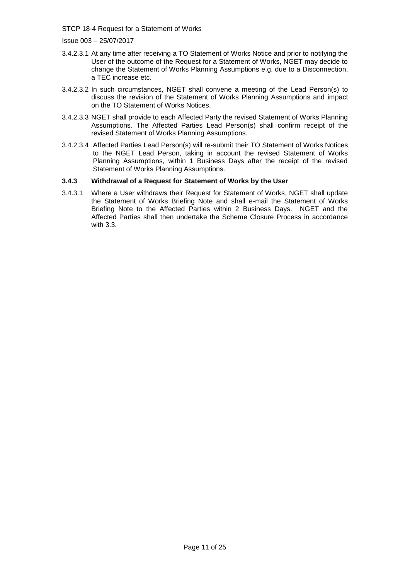Issue 003 – 25/07/2017

- 3.4.2.3.1 At any time after receiving a TO Statement of Works Notice and prior to notifying the User of the outcome of the Request for a Statement of Works, NGET may decide to change the Statement of Works Planning Assumptions e.g. due to a Disconnection, a TEC increase etc.
- 3.4.2.3.2 In such circumstances, NGET shall convene a meeting of the Lead Person(s) to discuss the revision of the Statement of Works Planning Assumptions and impact on the TO Statement of Works Notices.
- 3.4.2.3.3 NGET shall provide to each Affected Party the revised Statement of Works Planning Assumptions. The Affected Parties Lead Person(s) shall confirm receipt of the revised Statement of Works Planning Assumptions.
- 3.4.2.3.4 Affected Parties Lead Person(s) will re-submit their TO Statement of Works Notices to the NGET Lead Person, taking in account the revised Statement of Works Planning Assumptions, within 1 Business Days after the receipt of the revised Statement of Works Planning Assumptions.

### **3.4.3 Withdrawal of a Request for Statement of Works by the User**

3.4.3.1 Where a User withdraws their Request for Statement of Works, NGET shall update the Statement of Works Briefing Note and shall e-mail the Statement of Works Briefing Note to the Affected Parties within 2 Business Days. NGET and the Affected Parties shall then undertake the Scheme Closure Process in accordance with 3.3.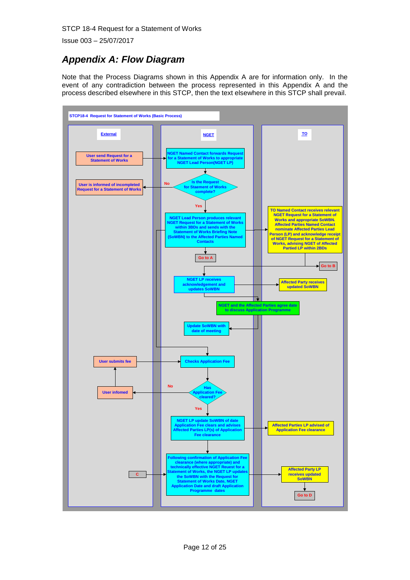Issue 003 – 25/07/2017

# *Appendix A: Flow Diagram*

Note that the Process Diagrams shown in this Appendix A are for information only. In the event of any contradiction between the process represented in this Appendix A and the process described elsewhere in this STCP, then the text elsewhere in this STCP shall prevail.

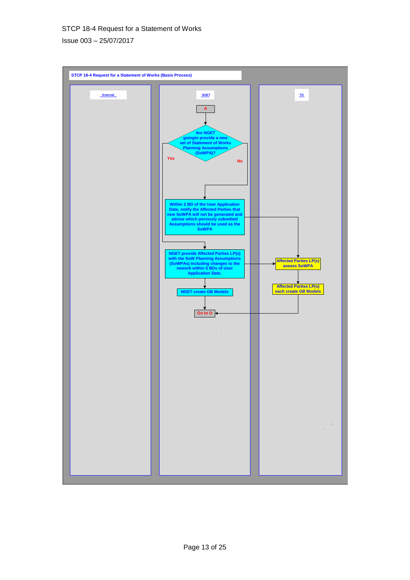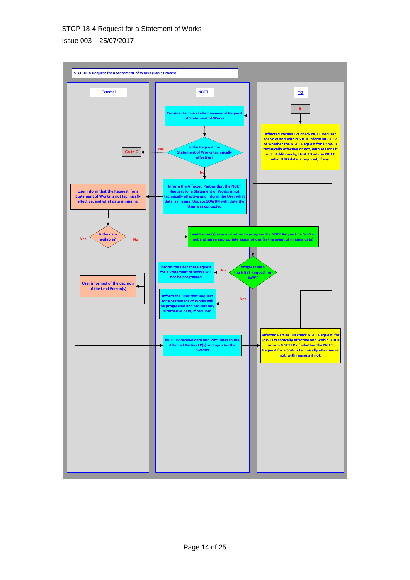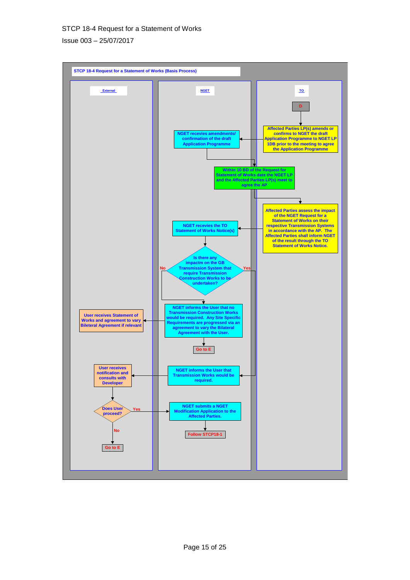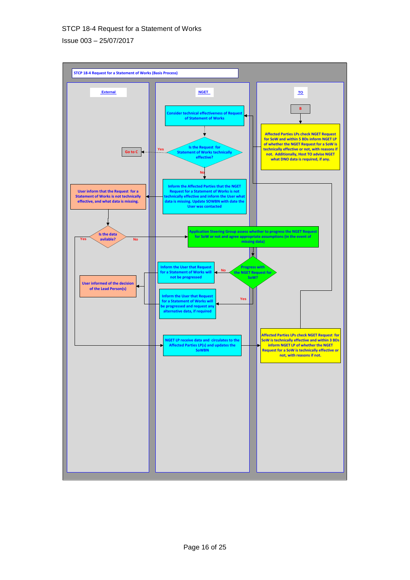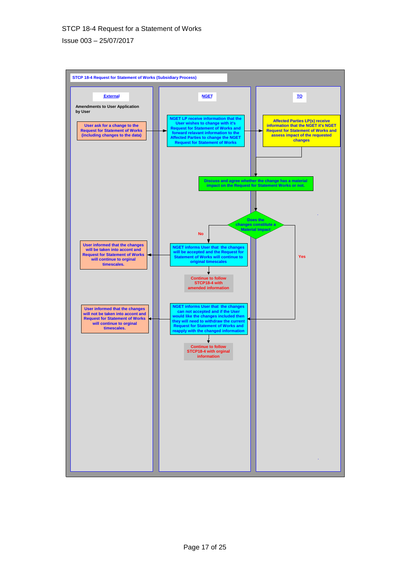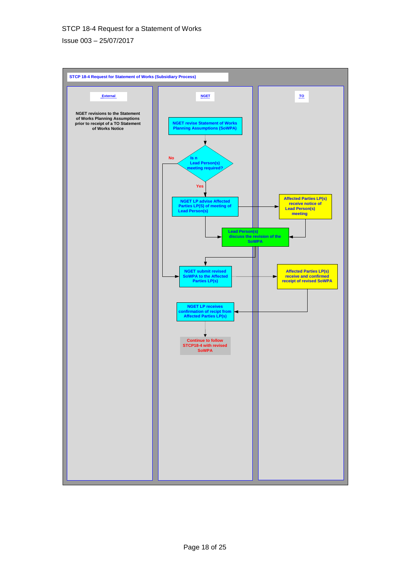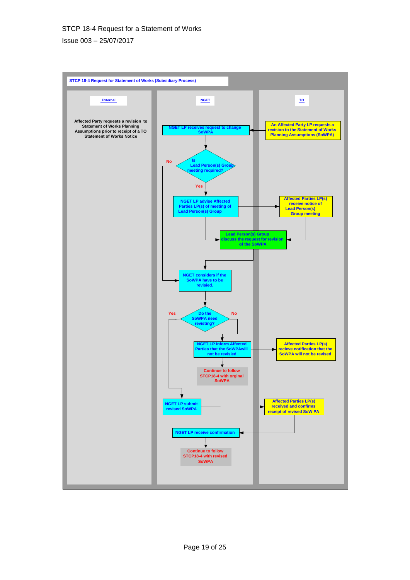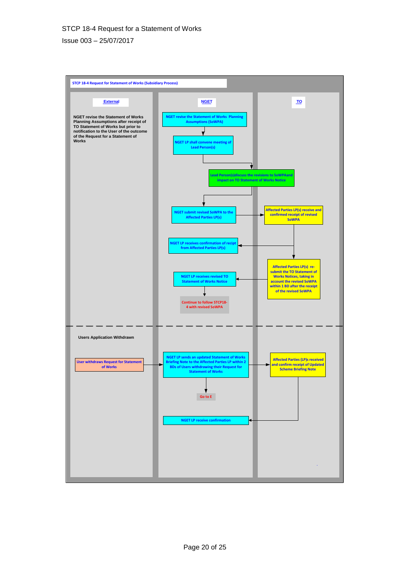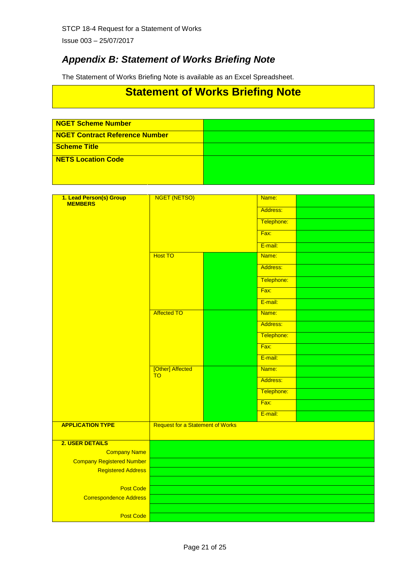Issue 003 – 25/07/2017

# *Appendix B: Statement of Works Briefing Note*

The Statement of Works Briefing Note is available as an Excel Spreadsheet.

# **Statement of Works Briefing Note**

| <b>NGET Scheme Number</b>      |  |
|--------------------------------|--|
| NGET Contract Reference Number |  |
| Scheme Title                   |  |
| NETS Location Code             |  |

| 1. Lead Person(s) Group<br>MEMBERS | NGET (NETSO)                            |  | Name:      |  |
|------------------------------------|-----------------------------------------|--|------------|--|
|                                    |                                         |  | Address:   |  |
|                                    |                                         |  | Telephone: |  |
|                                    |                                         |  | Fax:       |  |
|                                    |                                         |  | E-mail:    |  |
|                                    | <b>Host TO</b>                          |  | Name:      |  |
|                                    |                                         |  | Address:   |  |
|                                    |                                         |  | Telephone: |  |
|                                    |                                         |  | Fax:       |  |
|                                    |                                         |  | E-mail:    |  |
|                                    | <b>Affected TO</b>                      |  | Name:      |  |
|                                    |                                         |  | Address:   |  |
|                                    |                                         |  | Telephone: |  |
|                                    |                                         |  | Fax:       |  |
|                                    |                                         |  | E-mail:    |  |
|                                    | [Other] Affected<br><b>TO</b>           |  | Name:      |  |
|                                    |                                         |  | Address:   |  |
|                                    |                                         |  | Telephone: |  |
|                                    |                                         |  | Fax:       |  |
|                                    |                                         |  | E-mail:    |  |
| <b>APPLICATION TYPE</b>            | <b>Request for a Statement of Works</b> |  |            |  |
| 2. USER DETAILS                    |                                         |  |            |  |
| <b>Company Name</b>                |                                         |  |            |  |
| <b>Company Registered Number</b>   |                                         |  |            |  |
| <b>Registered Address</b>          |                                         |  |            |  |
| Post Code                          |                                         |  |            |  |
| <b>Correspondence Address</b>      |                                         |  |            |  |
|                                    |                                         |  |            |  |
| Post Code                          |                                         |  |            |  |
|                                    |                                         |  |            |  |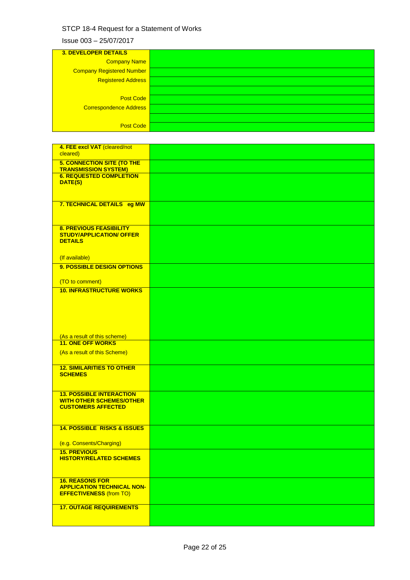| <b>3. DEVELOPER DETAILS</b>      |
|----------------------------------|
| Company Name                     |
| <b>Company Registered Number</b> |
| <b>Registered Address</b>        |
|                                  |
| <b>Post Code</b>                 |
| Correspondence Address           |
|                                  |
| <b>Post Code</b>                 |

| 4. FEE excl VAT (cleared/not<br>cleared)                                                        |  |
|-------------------------------------------------------------------------------------------------|--|
| <b>5. CONNECTION SITE (TO THE</b><br><b>TRANSMISSION SYSTEM)</b>                                |  |
| <b>6. REQUESTED COMPLETION</b><br>DATE(S)                                                       |  |
| 7. TECHNICAL DETAILS eg MW                                                                      |  |
| <b>8. PREVIOUS FEASIBILITY</b><br><b>STUDY/APPLICATION/ OFFER</b><br><b>DETAILS</b>             |  |
| (If available)<br>9. POSSIBLE DESIGN OPTIONS                                                    |  |
| (TO to comment)                                                                                 |  |
| <b>10. INFRASTRUCTURE WORKS</b>                                                                 |  |
| (As a result of this scheme)                                                                    |  |
| <b>11. ONE OFF WORKS</b>                                                                        |  |
| (As a result of this Scheme)                                                                    |  |
| <b>12. SIMILARITIES TO OTHER</b><br><b>SCHEMES</b>                                              |  |
| <b>13. POSSIBLE INTERACTION</b><br><b>WITH OTHER SCHEMES/OTHER</b><br><b>CUSTOMERS AFFECTED</b> |  |
| <b>14. POSSIBLE RISKS &amp; ISSUES</b>                                                          |  |
| (e.g. Consents/Charging)                                                                        |  |
| <b>15. PREVIOUS</b><br><b>HISTORY/RELATED SCHEMES</b>                                           |  |
| <b>16. REASONS FOR</b><br><b>APPLICATION TECHNICAL NON-</b><br><b>EFFECTIVENESS (from TO)</b>   |  |
| <b>17. OUTAGE REQUIREMENTS</b>                                                                  |  |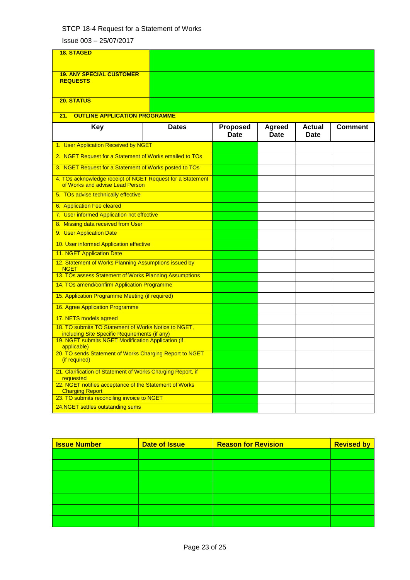| <b>18. STAGED</b>                                                                                     |              |                                |                              |                       |                |
|-------------------------------------------------------------------------------------------------------|--------------|--------------------------------|------------------------------|-----------------------|----------------|
| <b>19. ANY SPECIAL CUSTOMER</b><br><b>REQUESTS</b>                                                    |              |                                |                              |                       |                |
| 20. STATUS                                                                                            |              |                                |                              |                       |                |
| <b>OUTLINE APPLICATION PROGRAMME</b><br>21.                                                           |              |                                |                              |                       |                |
| <b>Key</b>                                                                                            | <b>Dates</b> | <b>Proposed</b><br><b>Date</b> | <b>Agreed</b><br><b>Date</b> | <b>Actual</b><br>Date | <b>Comment</b> |
| 1. User Application Received by NGET                                                                  |              |                                |                              |                       |                |
| 2. NGET Request for a Statement of Works emailed to TOs                                               |              |                                |                              |                       |                |
| 3. NGET Request for a Statement of Works posted to TOs                                                |              |                                |                              |                       |                |
| 4. TOs acknowledge receipt of NGET Request for a Statement<br>of Works and advise Lead Person         |              |                                |                              |                       |                |
| 5. TOs advise technically effective                                                                   |              |                                |                              |                       |                |
| 6. Application Fee cleared                                                                            |              |                                |                              |                       |                |
| 7. User informed Application not effective                                                            |              |                                |                              |                       |                |
| 8. Missing data received from User                                                                    |              |                                |                              |                       |                |
| 9. User Application Date                                                                              |              |                                |                              |                       |                |
| 10. User informed Application effective                                                               |              |                                |                              |                       |                |
| 11. NGET Application Date                                                                             |              |                                |                              |                       |                |
| 12. Statement of Works Planning Assumptions issued by<br><b>NGET</b>                                  |              |                                |                              |                       |                |
| 13. TOs assess Statement of Works Planning Assumptions                                                |              |                                |                              |                       |                |
| 14. TOs amend/confirm Application Programme                                                           |              |                                |                              |                       |                |
| 15. Application Programme Meeting (if required)                                                       |              |                                |                              |                       |                |
| 16. Agree Application Programme                                                                       |              |                                |                              |                       |                |
| 17. NETS models agreed                                                                                |              |                                |                              |                       |                |
| 18. TO submits TO Statement of Works Notice to NGET,<br>including Site Specific Requirements (if any) |              |                                |                              |                       |                |
| 19. NGET submits NGET Modification Application (if<br>applicable)                                     |              |                                |                              |                       |                |
| 20. TO sends Statement of Works Charging Report to NGET<br>(if required)                              |              |                                |                              |                       |                |
| 21. Clarification of Statement of Works Charging Report, if<br>requested                              |              |                                |                              |                       |                |
| 22. NGET notifies acceptance of the Statement of Works<br><b>Charging Report</b>                      |              |                                |                              |                       |                |
| 23. TO submits reconciling invoice to NGET                                                            |              |                                |                              |                       |                |
| 24.NGET settles outstanding sums                                                                      |              |                                |                              |                       |                |

| <b>Issue Number</b> | <b>Date of Issue</b> | <b>Reason for Revision</b> | <b>Revised by</b> |
|---------------------|----------------------|----------------------------|-------------------|
|                     |                      |                            |                   |
|                     |                      |                            |                   |
|                     |                      |                            |                   |
|                     |                      |                            |                   |
|                     |                      |                            |                   |
|                     |                      |                            |                   |
|                     |                      |                            |                   |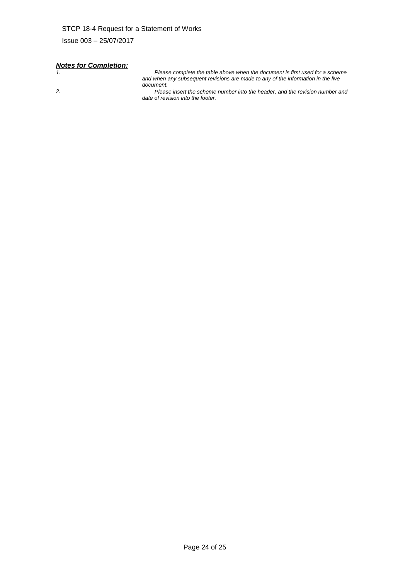# *Notes for Completion:*

*1. Please complete the table above when the document is first used for a scheme and when any subsequent revisions are made to any of the information in the live document.*

*2. Please insert the scheme number into the header, and the revision number and date of revision into the footer.*